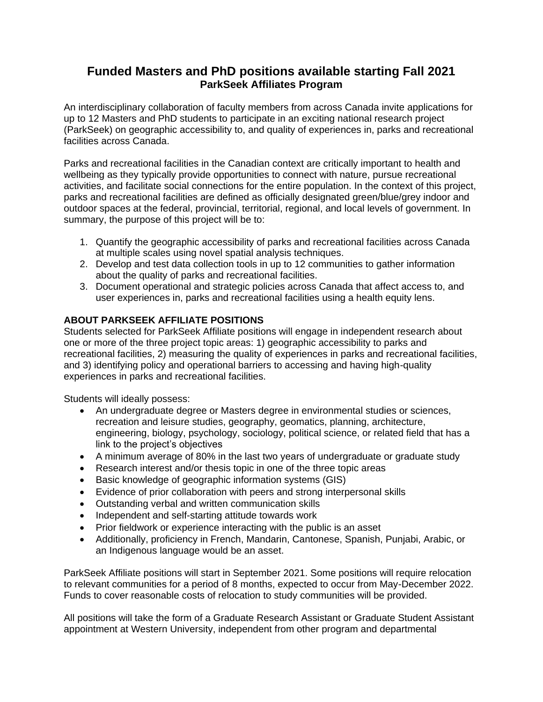## **Funded Masters and PhD positions available starting Fall 2021 ParkSeek Affiliates Program**

An interdisciplinary collaboration of faculty members from across Canada invite applications for up to 12 Masters and PhD students to participate in an exciting national research project (ParkSeek) on geographic accessibility to, and quality of experiences in, parks and recreational facilities across Canada.

Parks and recreational facilities in the Canadian context are critically important to health and wellbeing as they typically provide opportunities to connect with nature, pursue recreational activities, and facilitate social connections for the entire population. In the context of this project, parks and recreational facilities are defined as officially designated green/blue/grey indoor and outdoor spaces at the federal, provincial, territorial, regional, and local levels of government. In summary, the purpose of this project will be to:

- 1. Quantify the geographic accessibility of parks and recreational facilities across Canada at multiple scales using novel spatial analysis techniques.
- 2. Develop and test data collection tools in up to 12 communities to gather information about the quality of parks and recreational facilities.
- 3. Document operational and strategic policies across Canada that affect access to, and user experiences in, parks and recreational facilities using a health equity lens.

## **ABOUT PARKSEEK AFFILIATE POSITIONS**

Students selected for ParkSeek Affiliate positions will engage in independent research about one or more of the three project topic areas: 1) geographic accessibility to parks and recreational facilities, 2) measuring the quality of experiences in parks and recreational facilities, and 3) identifying policy and operational barriers to accessing and having high-quality experiences in parks and recreational facilities.

Students will ideally possess:

- An undergraduate degree or Masters degree in environmental studies or sciences, recreation and leisure studies, geography, geomatics, planning, architecture, engineering, biology, psychology, sociology, political science, or related field that has a link to the project's objectives
- A minimum average of 80% in the last two years of undergraduate or graduate study
- Research interest and/or thesis topic in one of the three topic areas
- Basic knowledge of geographic information systems (GIS)
- Evidence of prior collaboration with peers and strong interpersonal skills
- Outstanding verbal and written communication skills
- Independent and self-starting attitude towards work
- Prior fieldwork or experience interacting with the public is an asset
- Additionally, proficiency in French, Mandarin, Cantonese, Spanish, Punjabi, Arabic, or an Indigenous language would be an asset.

ParkSeek Affiliate positions will start in September 2021. Some positions will require relocation to relevant communities for a period of 8 months, expected to occur from May-December 2022. Funds to cover reasonable costs of relocation to study communities will be provided.

All positions will take the form of a Graduate Research Assistant or Graduate Student Assistant appointment at Western University, independent from other program and departmental